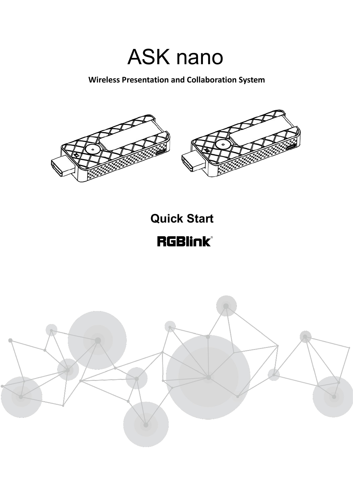# ASK nano

**Wireless Presentation and Collaboration System**





## **Quick Start**

**RGBlink®** 

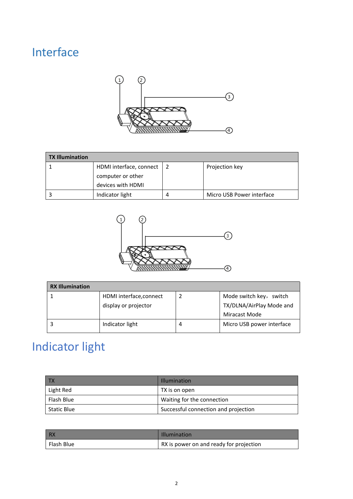## Interface



| <b>TX Illumination</b> |                             |   |                           |
|------------------------|-----------------------------|---|---------------------------|
|                        | HDMI interface, connect   2 |   | Projection key            |
|                        | computer or other           |   |                           |
|                        | devices with HDMI           |   |                           |
|                        | Indicator light             | 4 | Micro USB Power interface |



| <b>RX Illumination</b> |                         |   |                           |
|------------------------|-------------------------|---|---------------------------|
|                        | HDMI interface, connect |   | Mode switch key, switch   |
|                        | display or projector    |   | TX/DLNA/AirPlay Mode and  |
|                        |                         |   | Miracast Mode             |
|                        | Indicator light         | 4 | Micro USB power interface |
|                        |                         |   |                           |

## Indicator light

|             | <b>Illumination</b>                  |
|-------------|--------------------------------------|
| Light Red   | TX is on open                        |
| Flash Blue  | Waiting for the connection           |
| Static Blue | Successful connection and projection |

| RX                      | <b>Illumination</b>                     |
|-------------------------|-----------------------------------------|
| <sup>1</sup> Flash Blue | RX is power on and ready for projection |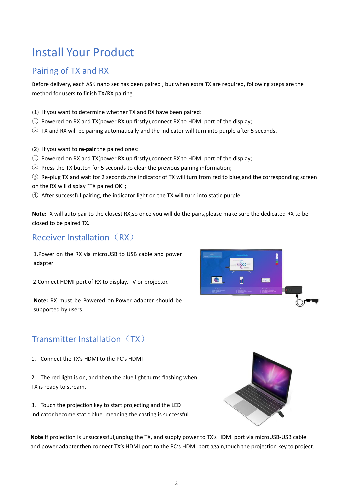## Install Your Product

## Pairing of TX and RX

Before delivery, each ASK nano set has been paired , but when extra TX are required, following steps are the method for users to finish TX/RX pairing.

- (1) If you want to determine whether TX and RX have been paired:
- ① Powered on RX and TX(power RX up firstly),connect RX to HDMI port of the display;
- ② TX and RX will be pairing automatically and the indicator will turn into purple after 5 seconds.
- (2) If you want to **re-pair** the paired ones:
- ① Powered on RX and TX(power RX up firstly),connect RX to HDMI port of the display;
- ② Press the TX button for 5 seconds to clear the previous pairing information;
- ③ Re-plug TX and wait for2 seconds,the indicator of TX will turn from red to blue,and the corresponding screen
- on the RX will display "TX paired OK";
- ④ After successful pairing, the indicator light on the TX will turn into static purple.

**Note:**TX will auto pair to the closest RX,so once you will do the pairs,please make sure the dedicated RX to be closed to be paired TX.

## Receiver Installation (RX)

1.Power on the RX via microUSB to USB cable and power adapter

2.Connect HDMI port of RX to display, TV or projector.

**Note:** RX must be Powered on.Power adapter should be supported by users.



## Transmitter Installation  $(TX)$

1. Connect the TX's HDMI to the PC's HDMI

2. The red light is on, and then the blue light turns flashing when TX is ready to stream.

3. Touch the projection key to start projecting and the LED indicator become static blue, meaning the casting is successful.



**Note**:If projection is unsuccessful,unplug the TX, and supply power to TX's HDMI port via microUSB-USB cable and power adapter,then connect TX's HDMI port to the PC's HDMI port again,touch the projection key to project.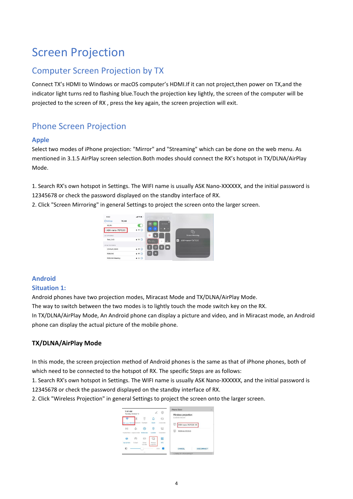## Screen Projection

## Computer Screen Projection by TX

Connect TX's HDMI to Windows or macOS computer's HDMI.If it can not project,then power on TX,and the indicator light turns red to flashing blue.Touch the projection key lightly, the screen of the computer will be projected to the screen of RX , press the key again, the screen projection will exit.

## Phone Screen Projection

#### **Apple**

Select two modes of iPhone projection: "Mirror" and "Streaming" which can be done on the web menu. As mentioned in 3.1.5 AirPlay screen selection.Both modes should connect the RX's hotspot in TX/DLNA/AirPlay Mode.

1. Search RX's own hotspot in Settings. The WIFI name is usually ASK Nano-XXXXXX, and the initial password is 12345678 or check the password displayed on the standby interface of RX.

2. Click "Screen Mirroring" in general Settings to project the screen onto the larger screen.



### **Android**

#### **Situation 1:**

Android phones have two projection modes, Miracast Mode and TX/DLNA/AirPlay Mode.

The way to switch between the two modes is to lightly touch the mode switch key on the RX.

In TX/DLNA/AirPlay Mode, An Android phone can display a picture and video, and in Miracast mode, an Android phone can display the actual picture of the mobile phone.

#### **TX/DLNA/AirPlay Mode**

In this mode, the screen projection method of Android phones is the same as that of iPhone phones, both of which need to be connected to the hotspot of RX. The specific Steps are as follows:

1. Search RX's own hotspot in Settings. The WIFI name is usually ASK Nano-XXXXXX, and the initial password is 12345678 or check the password displayed on the standby interface of RX.

2. Click "Wireless Projection" in general Settings to project the screen onto the larger screen.

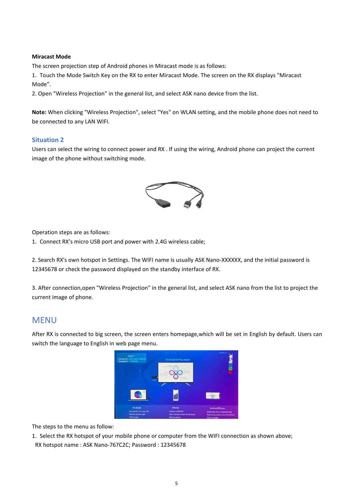#### **Miracast Mode**

The screen projection step of Android phones in Miracast mode is as follows:

1. Touch the Mode Switch Key on the RX to enter Miracast Mode. The screen on the RX displays "Miracast Mode".

2. Open "Wireless Projection" in the general list, and select ASK nano device from the list.

**Note:** When clicking "Wireless Projection", select "Yes" on WLAN setting, and the mobile phone does not need to be connected to any LAN WIFI.

#### **Situation 2**

Users can select the wiring to connect power and RX . If using the wiring, Android phone can project the current image of the phone without switching mode.



Operation steps are as follows:

1. Connect RX's micro USB port and power with 2.4G wireless cable;

2. Search RX's own hotspot in Settings. The WIFI name is usually ASK Nano-XXXXXX, and the initial password is 12345678 or check the password displayed on the standby interface of RX.

3. After connection,open "Wireless Projection" in the general list, and select ASK nano from the list to project the current image of phone.

#### MENU

After RX is connected to big screen, the screen enters homepage,which will be set in English by default. Users can switch the language to English in web page menu.



The steps to the menu as follow:

1. Select the RX hotspot of your mobile phone or computer from the WIFI connection as shown above; RX hotspot name : ASK Nano-767C2C; Password : 12345678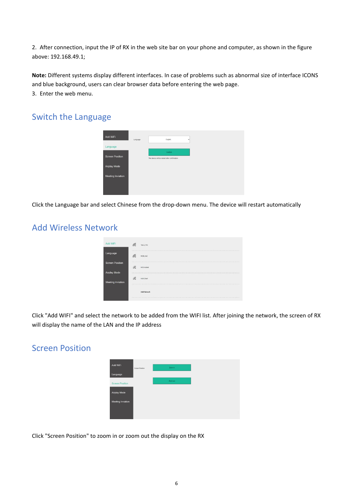2. After connection, input the IP of RX in the web site bar on your phone and computer, as shown in the figure above: 192.168.49.1;

**Note:** Different systems display different interfaces. In case of problems such as abnormal size of interface ICONS and blue background, users can clear browser data before entering the web page. 3. Enter the web menu.

### Switch the Language



Click the Language bar and select Chinese from the drop-down menu. The device will restart automatically

### Add Wireless Network

| Add WiFi                               | $\sqrt{6}$     | Test_2.4G          |
|----------------------------------------|----------------|--------------------|
| Language                               | (Fa            | <b>RGBLINK</b>     |
| <b>Screen Position</b><br>Airplay Mode | $\sqrt{6}$     | H./X-market        |
| <b>Meeting Inviation</b>               | $\overline{6}$ | HJX-Chief          |
|                                        |                | <b>Add Network</b> |

Click "Add WIFI" and select the network to be added from the WIFI list. After joining the network, the screen of RX will display the name of the LAN and the IP address

### Screen Position



Click "Screen Position" to zoom in or zoom out the display on the RX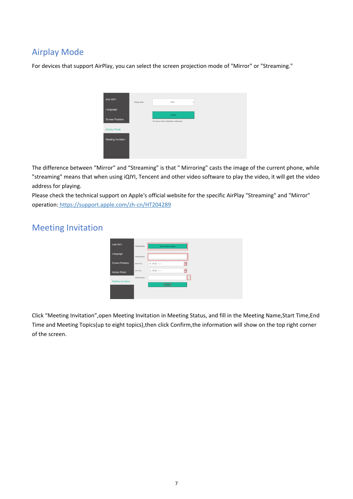## Airplay Mode

For devices that support AirPlay, you can select the screen projection mode of "Mirror" or "Streaming."



The difference between "Mirror" and "Streaming" is that " Mirroring" casts the image of the current phone, while "streaming" means that when using iQIYI, Tencent and other video software to play the video, it will get the video address for playing.

Please check the technical support on Apple's official website for the specific AirPlay "Streaming" and "Mirror" operation: <https://support.apple.com/zh-cn/HT204289>

### Meeting Invitation

| Add WiFi               | Meeting Status | Close Meeting Invitation |   |  |
|------------------------|----------------|--------------------------|---|--|
| Language               | Meeting Name   |                          |   |  |
| <b>Screen Position</b> | Start Time     | 年/月/日 ---                | Θ |  |
| Airplay Mode           | End Time       | 年/月/日 ---                | 同 |  |
| Meeting Inviation      | Meeting Topics | Control                  |   |  |
|                        |                |                          |   |  |

Click "Meeting Invitation",open Meeting Invitation in Meeting Status, and fill in the Meeting Name,Start Time,End Time and Meeting Topics(up to eight topics),then click Confirm,the information will show on the top right corner of the screen.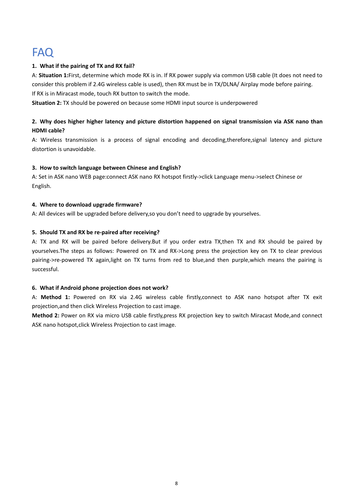## FAQ **FAQ**

#### **1. What if the pairing of TX and RX fail?**

A: **Situation 1:**First, determine which mode RX is in. If RX power supply via common USB cable (It does not need to consider this problem if 2.4G wireless cable is used), then RX must be in TX/DLNA/ Airplay mode before pairing. If RX is in Miracast mode, touch RX button to switch the mode.

**Situation 2:** TX should be powered on because some HDMI input source is underpowered

#### 2. Why does higher higher latency and picture distortion happened on signal transmission via ASK nano than **HDMI cable?**

A: Wireless transmission is a process of signal encoding and decoding,therefore,signal latency and picture distortion is unavoidable.

#### **3. How to switch language between Chinese and English?**

A: Set in ASK nano WEB page:connect ASK nano RX hotspot firstly->click Language menu->select Chinese or English.

#### **4. Where to download upgrade firmware?**

A: All devices will be upgraded before delivery,so you don't need to upgrade by yourselves.

#### **5. Should TX and RX be re-paired after receiving?**

A: TX and RX will be paired before delivery.But if you order extra TX,then TX and RX should be paired by yourselves.The steps as follows: Powered on TX and RX->Long press the projection key on TX to clear previous pairing->re-powered TX again,light on TX turns from red to blue,and then purple,which means the pairing is successful.

#### **6. What if Android phone projection does not work?**

A: **Method 1:** Powered on RX via 2.4G wireless cable firstly,connect to ASK nano hotspot after TX exit projection,and then click Wireless Projection to cast image.

**Method 2:** Power on RX via micro USB cable firstly,press RX projection key to switch Miracast Mode,and connect ASK nano hotspot,click Wireless Projection to cast image.